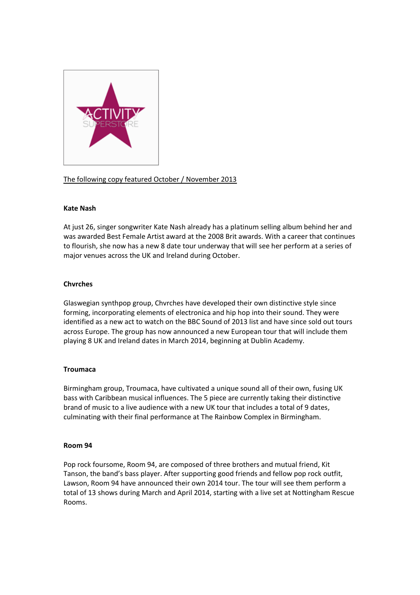

# The following copy featured October / November 2013

# **Kate Nash**

At just 26, singer songwriter Kate Nash already has a platinum selling album behind her and was awarded Best Female Artist award at the 2008 Brit awards. With a career that continues to flourish, she now has a new 8 date tour underway that will see her perform at a series of major venues across the UK and Ireland during October.

# **Chvrches**

Glaswegian synthpop group, Chvrches have developed their own distinctive style since forming, incorporating elements of electronica and hip hop into their sound. They were identified as a new act to watch on the BBC Sound of 2013 list and have since sold out tours across Europe. The group has now announced a new European tour that will include them playing 8 UK and Ireland dates in March 2014, beginning at Dublin Academy.

# **Troumaca**

Birmingham group, Troumaca, have cultivated a unique sound all of their own, fusing UK bass with Caribbean musical influences. The 5 piece are currently taking their distinctive brand of music to a live audience with a new UK tour that includes a total of 9 dates, culminating with their final performance at The Rainbow Complex in Birmingham.

# **Room 94**

Pop rock foursome, Room 94, are composed of three brothers and mutual friend, Kit Tanson, the band's bass player. After supporting good friends and fellow pop rock outfit, Lawson, Room 94 have announced their own 2014 tour. The tour will see them perform a total of 13 shows during March and April 2014, starting with a live set at Nottingham Rescue Rooms.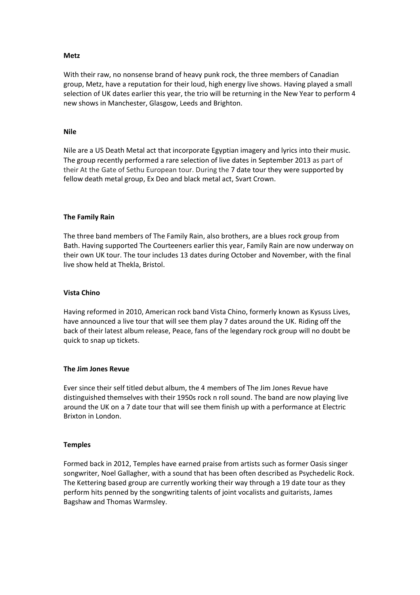## **Metz**

With their raw, no nonsense brand of heavy punk rock, the three members of Canadian group, Metz, have a reputation for their loud, high energy live shows. Having played a small selection of UK dates earlier this year, the trio will be returning in the New Year to perform 4 new shows in Manchester, Glasgow, Leeds and Brighton.

## **Nile**

Nile are a US Death Metal act that incorporate Egyptian imagery and lyrics into their music. The group recently performed a rare selection of live dates in September 2013 as part of their At the Gate of Sethu European tour. During the 7 date tour they were supported by fellow death metal group, Ex Deo and black metal act, Svart Crown.

## **The Family Rain**

The three band members of The Family Rain, also brothers, are a blues rock group from Bath. Having supported The Courteeners earlier this year, Family Rain are now underway on their own UK tour. The tour includes 13 dates during October and November, with the final live show held at Thekla, Bristol.

## **Vista Chino**

Having reformed in 2010, American rock band Vista Chino, formerly known as Kysuss Lives, have announced a live tour that will see them play 7 dates around the UK. Riding off the back of their latest album release, Peace, fans of the legendary rock group will no doubt be quick to snap up tickets.

#### **The Jim Jones Revue**

Ever since their self titled debut album, the 4 members of The Jim Jones Revue have distinguished themselves with their 1950s rock n roll sound. The band are now playing live around the UK on a 7 date tour that will see them finish up with a performance at Electric Brixton in London.

#### **Temples**

Formed back in 2012, Temples have earned praise from artists such as former Oasis singer songwriter, Noel Gallagher, with a sound that has been often described as Psychedelic Rock. The Kettering based group are currently working their way through a 19 date tour as they perform hits penned by the songwriting talents of joint vocalists and guitarists, James Bagshaw and Thomas Warmsley.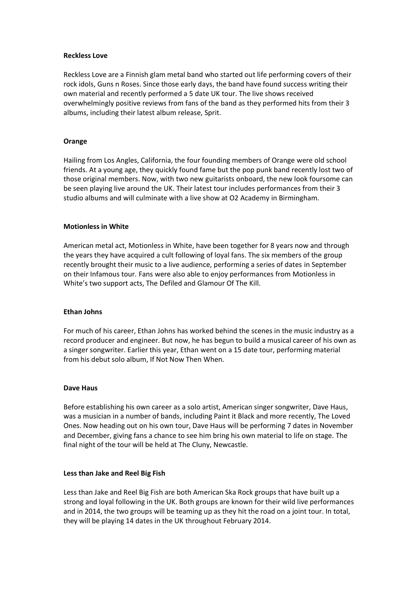## **Reckless Love**

Reckless Love are a Finnish glam metal band who started out life performing covers of their rock idols, Guns n Roses. Since those early days, the band have found success writing their own material and recently performed a 5 date UK tour. The live shows received overwhelmingly positive reviews from fans of the band as they performed hits from their 3 albums, including their latest album release, Sprit.

## **Orange**

Hailing from Los Angles, California, the four founding members of Orange were old school friends. At a young age, they quickly found fame but the pop punk band recently lost two of those original members. Now, with two new guitarists onboard, the new look foursome can be seen playing live around the UK. Their latest tour includes performances from their 3 studio albums and will culminate with a live show at O2 Academy in Birmingham.

## **Motionless in White**

American metal act, Motionless in White, have been together for 8 years now and through the years they have acquired a cult following of loyal fans. The six members of the group recently brought their music to a live audience, performing a series of dates in September on their Infamous tour. Fans were also able to enjoy performances from Motionless in White's two support acts, The Defiled and Glamour Of The Kill.

#### **Ethan Johns**

For much of his career, Ethan Johns has worked behind the scenes in the music industry as a record producer and engineer. But now, he has begun to build a musical career of his own as a singer songwriter. Earlier this year, Ethan went on a 15 date tour, performing material from his debut solo album, If Not Now Then When.

#### **Dave Haus**

Before establishing his own career as a solo artist, American singer songwriter, Dave Haus, was a musician in a number of bands, including Paint it Black and more recently, The Loved Ones. Now heading out on his own tour, Dave Haus will be performing 7 dates in November and December, giving fans a chance to see him bring his own material to life on stage. The final night of the tour will be held at The Cluny, Newcastle.

#### **Less than Jake and Reel Big Fish**

Less than Jake and Reel Big Fish are both American Ska Rock groups that have built up a strong and loyal following in the UK. Both groups are known for their wild live performances and in 2014, the two groups will be teaming up as they hit the road on a joint tour. In total, they will be playing 14 dates in the UK throughout February 2014.